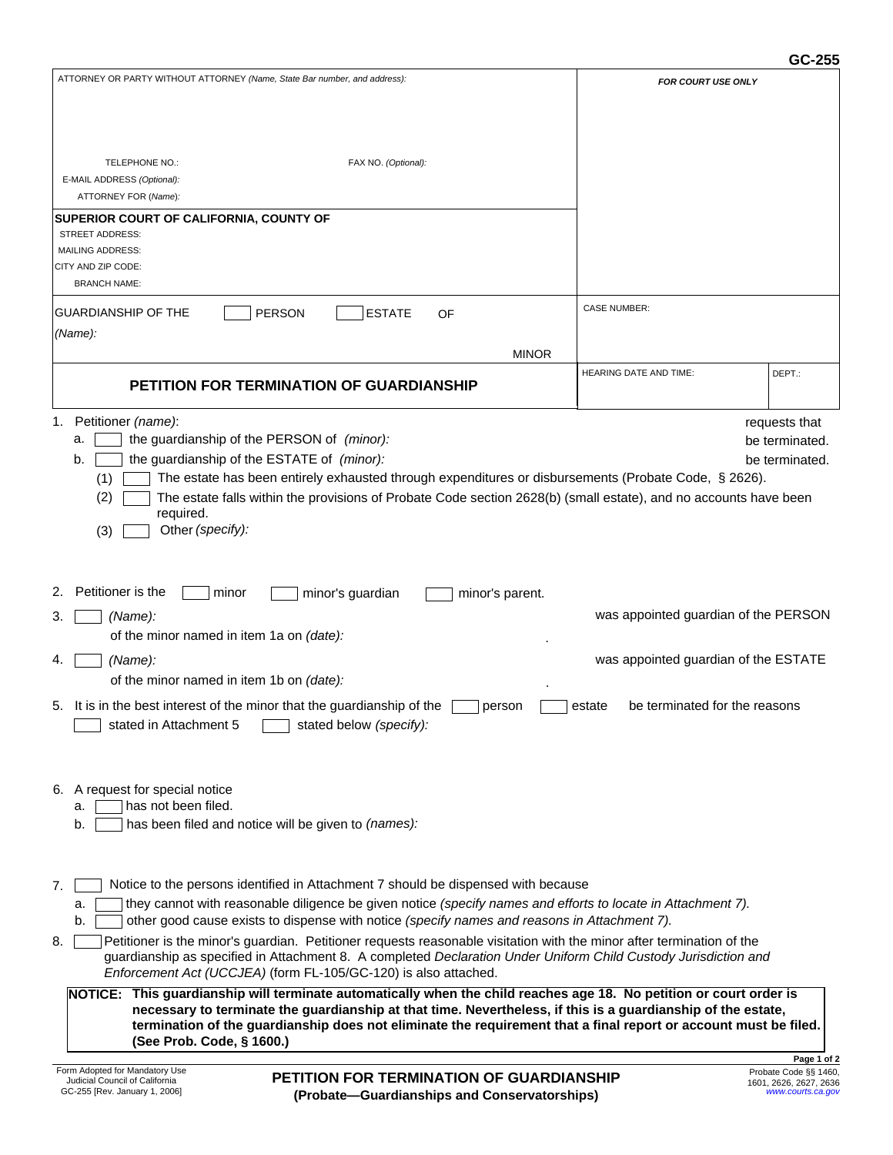## **GC-255**

| ATTORNEY OR PARTY WITHOUT ATTORNEY (Name, State Bar number, and address):                                                                                                                                                | <b>FOR COURT USE ONLY</b>            |                                             |  |  |  |  |  |
|--------------------------------------------------------------------------------------------------------------------------------------------------------------------------------------------------------------------------|--------------------------------------|---------------------------------------------|--|--|--|--|--|
|                                                                                                                                                                                                                          |                                      |                                             |  |  |  |  |  |
|                                                                                                                                                                                                                          |                                      |                                             |  |  |  |  |  |
|                                                                                                                                                                                                                          |                                      |                                             |  |  |  |  |  |
| TELEPHONE NO.:<br>FAX NO. (Optional):                                                                                                                                                                                    |                                      |                                             |  |  |  |  |  |
| E-MAIL ADDRESS (Optional):                                                                                                                                                                                               |                                      |                                             |  |  |  |  |  |
| ATTORNEY FOR (Name):                                                                                                                                                                                                     |                                      |                                             |  |  |  |  |  |
| <b>SUPERIOR COURT OF CALIFORNIA, COUNTY OF</b>                                                                                                                                                                           |                                      |                                             |  |  |  |  |  |
| <b>STREET ADDRESS:</b><br><b>MAILING ADDRESS:</b>                                                                                                                                                                        |                                      |                                             |  |  |  |  |  |
| CITY AND ZIP CODE:                                                                                                                                                                                                       |                                      |                                             |  |  |  |  |  |
| <b>BRANCH NAME:</b>                                                                                                                                                                                                      |                                      |                                             |  |  |  |  |  |
|                                                                                                                                                                                                                          | <b>CASE NUMBER:</b>                  |                                             |  |  |  |  |  |
| <b>GUARDIANSHIP OF THE</b><br><b>PERSON</b><br><b>ESTATE</b><br>OF                                                                                                                                                       |                                      |                                             |  |  |  |  |  |
| (Name):                                                                                                                                                                                                                  |                                      |                                             |  |  |  |  |  |
| <b>MINOR</b>                                                                                                                                                                                                             |                                      |                                             |  |  |  |  |  |
| <b>PETITION FOR TERMINATION OF GUARDIANSHIP</b>                                                                                                                                                                          | <b>HEARING DATE AND TIME:</b>        | DEPT.:                                      |  |  |  |  |  |
|                                                                                                                                                                                                                          |                                      |                                             |  |  |  |  |  |
| Petitioner (name):<br>1.                                                                                                                                                                                                 |                                      | requests that                               |  |  |  |  |  |
| the guardianship of the PERSON of (minor):<br>a.                                                                                                                                                                         |                                      | be terminated.                              |  |  |  |  |  |
| the guardianship of the ESTATE of (minor):<br>b.                                                                                                                                                                         |                                      | be terminated.                              |  |  |  |  |  |
| The estate has been entirely exhausted through expenditures or disbursements (Probate Code, § 2626).<br>(1)                                                                                                              |                                      |                                             |  |  |  |  |  |
| (2)<br>The estate falls within the provisions of Probate Code section 2628(b) (small estate), and no accounts have been                                                                                                  |                                      |                                             |  |  |  |  |  |
| required.                                                                                                                                                                                                                |                                      |                                             |  |  |  |  |  |
| Other (specify):<br>(3)                                                                                                                                                                                                  |                                      |                                             |  |  |  |  |  |
|                                                                                                                                                                                                                          |                                      |                                             |  |  |  |  |  |
|                                                                                                                                                                                                                          |                                      |                                             |  |  |  |  |  |
| Petitioner is the<br>minor<br>minor's guardian<br>minor's parent.                                                                                                                                                        |                                      |                                             |  |  |  |  |  |
| (Name):<br>З.                                                                                                                                                                                                            | was appointed guardian of the PERSON |                                             |  |  |  |  |  |
| of the minor named in item 1a on (date):                                                                                                                                                                                 |                                      |                                             |  |  |  |  |  |
| (Name):<br>4.                                                                                                                                                                                                            | was appointed guardian of the ESTATE |                                             |  |  |  |  |  |
| of the minor named in item 1b on (date):                                                                                                                                                                                 |                                      |                                             |  |  |  |  |  |
|                                                                                                                                                                                                                          |                                      |                                             |  |  |  |  |  |
| 5. It is in the best interest of the minor that the guardianship of the<br>be terminated for the reasons<br>person<br>estate<br>stated below (specify):                                                                  |                                      |                                             |  |  |  |  |  |
| stated in Attachment 5                                                                                                                                                                                                   |                                      |                                             |  |  |  |  |  |
|                                                                                                                                                                                                                          |                                      |                                             |  |  |  |  |  |
|                                                                                                                                                                                                                          |                                      |                                             |  |  |  |  |  |
| 6. A request for special notice                                                                                                                                                                                          |                                      |                                             |  |  |  |  |  |
| has not been filed.<br>a.                                                                                                                                                                                                |                                      |                                             |  |  |  |  |  |
| b.<br>has been filed and notice will be given to (names):                                                                                                                                                                |                                      |                                             |  |  |  |  |  |
|                                                                                                                                                                                                                          |                                      |                                             |  |  |  |  |  |
|                                                                                                                                                                                                                          |                                      |                                             |  |  |  |  |  |
| Notice to the persons identified in Attachment 7 should be dispensed with because<br>7.                                                                                                                                  |                                      |                                             |  |  |  |  |  |
| they cannot with reasonable diligence be given notice (specify names and efforts to locate in Attachment 7).<br>a.<br>other good cause exists to dispense with notice (specify names and reasons in Attachment 7).<br>b. |                                      |                                             |  |  |  |  |  |
| Petitioner is the minor's guardian. Petitioner requests reasonable visitation with the minor after termination of the<br>8.                                                                                              |                                      |                                             |  |  |  |  |  |
| guardianship as specified in Attachment 8. A completed Declaration Under Uniform Child Custody Jurisdiction and                                                                                                          |                                      |                                             |  |  |  |  |  |
| Enforcement Act (UCCJEA) (form FL-105/GC-120) is also attached.                                                                                                                                                          |                                      |                                             |  |  |  |  |  |
| NOTICE: This guardianship will terminate automatically when the child reaches age 18. No petition or court order is                                                                                                      |                                      |                                             |  |  |  |  |  |
| necessary to terminate the guardianship at that time. Nevertheless, if this is a guardianship of the estate,                                                                                                             |                                      |                                             |  |  |  |  |  |
| termination of the guardianship does not eliminate the requirement that a final report or account must be filed.                                                                                                         |                                      |                                             |  |  |  |  |  |
| (See Prob. Code, § 1600.)                                                                                                                                                                                                |                                      | Page 1 of 2                                 |  |  |  |  |  |
| Form Adopted for Mandatory Use<br><b>PETITION FOR TERMINATION OF GUARDIANSHIP</b>                                                                                                                                        |                                      | Probate Code §§ 1460,                       |  |  |  |  |  |
| Judicial Council of California<br>GC-255 [Rev. January 1, 2006]<br>(Probate-Guardianships and Conservatorships)                                                                                                          |                                      | 1601, 2626, 2627, 2636<br>www.courts.ca.gov |  |  |  |  |  |